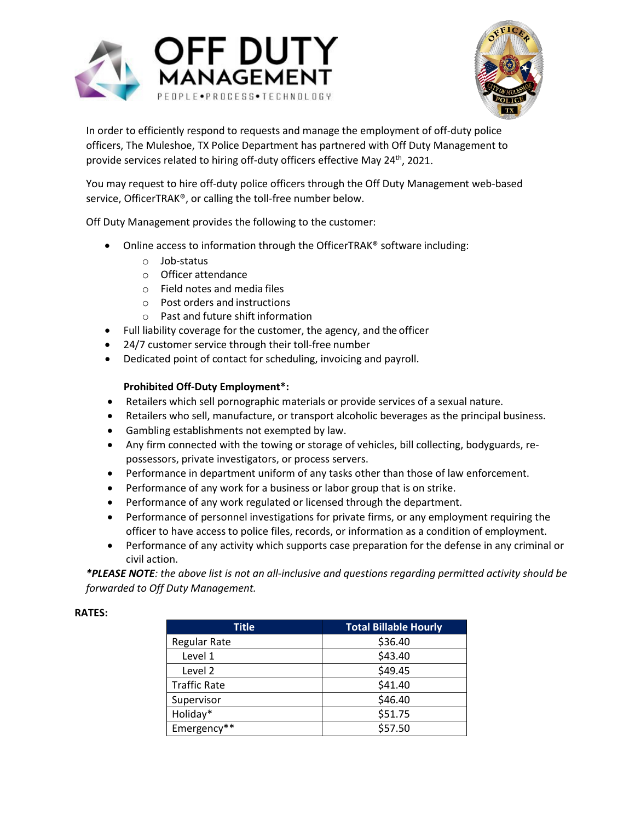



In order to efficiently respond to requests and manage the employment of off-duty police officers, The Muleshoe, TX Police Department has partnered with Off Duty Management to provide services related to hiring off-duty officers effective May 24<sup>th</sup>, 2021.

You may request to hire off-duty police officers through the Off Duty Management web-based service, OfficerTRAK®, or calling the toll-free number below.

Off Duty Management provides the following to the customer:

- Online access to information through the OfficerTRAK<sup>®</sup> software including:
	- o Job-status
	- o Officer attendance
	- o Field notes and media files
	- o Post orders and instructions
	- o Past and future shift information
- Full liability coverage for the customer, the agency, and the officer
- 24/7 customer service through their toll-free number
- Dedicated point of contact for scheduling, invoicing and payroll.

## **Prohibited Off-Duty Employment\*:**

- Retailers which sell pornographic materials or provide services of a sexual nature.
- Retailers who sell, manufacture, or transport alcoholic beverages as the principal business.
- Gambling establishments not exempted by law.
- Any firm connected with the towing or storage of vehicles, bill collecting, bodyguards, repossessors, private investigators, or process servers.
- Performance in department uniform of any tasks other than those of law enforcement.
- Performance of any work for a business or labor group that is on strike.
- Performance of any work regulated or licensed through the department.
- Performance of personnel investigations for private firms, or any employment requiring the officer to have access to police files, records, or information as a condition of employment.
- Performance of any activity which supports case preparation for the defense in any criminal or civil action.

*\*PLEASE NOTE: the above list is not an all-inclusive and questions regarding permitted activity should be forwarded to Off Duty Management.*

| Title               | <b>Total Billable Hourly</b> |
|---------------------|------------------------------|
| Regular Rate        | \$36.40                      |
| Level 1             | \$43.40                      |
| Level 2             | \$49.45                      |
| <b>Traffic Rate</b> | \$41.40                      |
| Supervisor          | \$46.40                      |
| Holiday*            | \$51.75                      |
| Emergency**         | \$57.50                      |

## **RATES:**